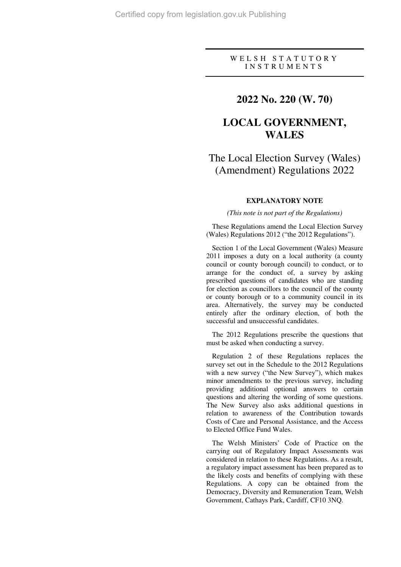#### W E L S H S T A T U T O R Y I N S T R U M E N T S

# **2022 No. 220 (W. 70)**

# **LOCAL GOVERNMENT, WALES**

# The Local Election Survey (Wales) (Amendment) Regulations 2022

#### **EXPLANATORY NOTE**

*(This note is not part of the Regulations)* 

These Regulations amend the Local Election Survey (Wales) Regulations 2012 ("the 2012 Regulations").

Section 1 of the Local Government (Wales) Measure 2011 imposes a duty on a local authority (a county council or county borough council) to conduct, or to arrange for the conduct of, a survey by asking prescribed questions of candidates who are standing for election as councillors to the council of the county or county borough or to a community council in its area. Alternatively, the survey may be conducted entirely after the ordinary election, of both the successful and unsuccessful candidates.

The 2012 Regulations prescribe the questions that must be asked when conducting a survey.

Regulation 2 of these Regulations replaces the survey set out in the Schedule to the 2012 Regulations with a new survey ("the New Survey"), which makes minor amendments to the previous survey, including providing additional optional answers to certain questions and altering the wording of some questions. The New Survey also asks additional questions in relation to awareness of the Contribution towards Costs of Care and Personal Assistance, and the Access to Elected Office Fund Wales.

The Welsh Ministers' Code of Practice on the carrying out of Regulatory Impact Assessments was considered in relation to these Regulations. As a result, a regulatory impact assessment has been prepared as to the likely costs and benefits of complying with these Regulations. A copy can be obtained from the Democracy, Diversity and Remuneration Team, Welsh Government, Cathays Park, Cardiff, CF10 3NQ.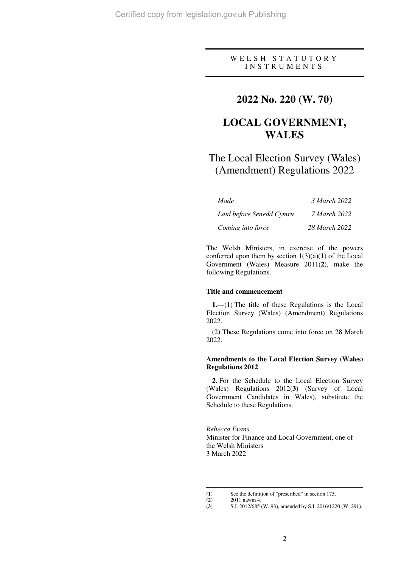## WELSH STATUTORY I N S T R U M E N T S

# **2022 No. 220 (W. 70)**

# **LOCAL GOVERNMENT, WALES**

# The Local Election Survey (Wales) (Amendment) Regulations 2022

| Made                     | 3 March 2022        |
|--------------------------|---------------------|
| Laid before Senedd Cymru | <i>7 March 2022</i> |
| Coming into force        | 28 March 2022       |

The Welsh Ministers, in exercise of the powers conferred upon them by section 1(3)(a)(**1**) of the Local Government (Wales) Measure 2011(**2**), make the following Regulations.

#### **Title and commencement**

**1.**—(1) The title of these Regulations is the Local Election Survey (Wales) (Amendment) Regulations 2022.

(2) These Regulations come into force on 28 March 2022.

#### **Amendments to the Local Election Survey (Wales) Regulations 2012**

**2.** For the Schedule to the Local Election Survey (Wales) Regulations 2012(**3**) (Survey of Local Government Candidates in Wales), substitute the Schedule to these Regulations.

*Rebecca Evans* Minister for Finance and Local Government, one of the Welsh Ministers 3 March 2022

 $\overline{a}$ 

<sup>(</sup>**1**) See the definition of "prescribed" in section 175.

<sup>(2)</sup>  $2011 \text{ nawm } 4.$ <br>(3)  $S.I. 2012/685$ 

<sup>(</sup>**3**) S.I. 2012/685 (W. 93), amended by S.I. 2016/1220 (W. 291).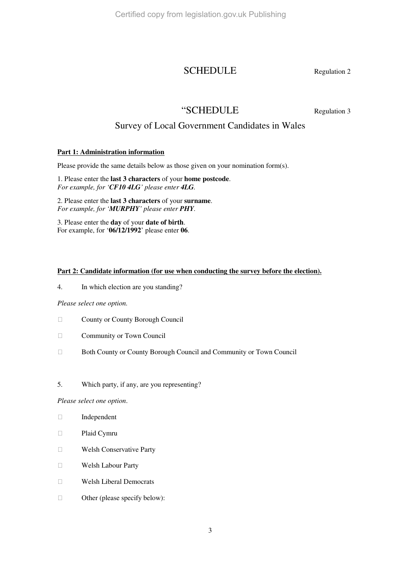# SCHEDULE Regulation 2

# "SCHEDULE Regulation 3

# Survey of Local Government Candidates in Wales

## **Part 1: Administration information**

Please provide the same details below as those given on your nomination form(s).

1. Please enter the **last 3 characters** of your **home postcode**. *For example, for 'CF10 4LG' please enter 4LG.*

2. Please enter the **last 3 characters** of your **surname**. *For example, for 'MURPHY' please enter PHY.*

3. Please enter the **day** of your **date of birth**. For example, for '**06/12/1992**' please enter **06**.

## Part 2: Candidate information (for use when conducting the survey before the election).

4. In which election are you standing?

### *Please select one option.*

County or County Borough Council

Community or Town Council

Both County or County Borough Council and Community or Town Council

## 5. Which party, if any, are you representing?

*Please select one option*.

 Independent Plaid Cymru Welsh Conservative Party Welsh Labour Party

Welsh Liberal Democrats

Other (please specify below):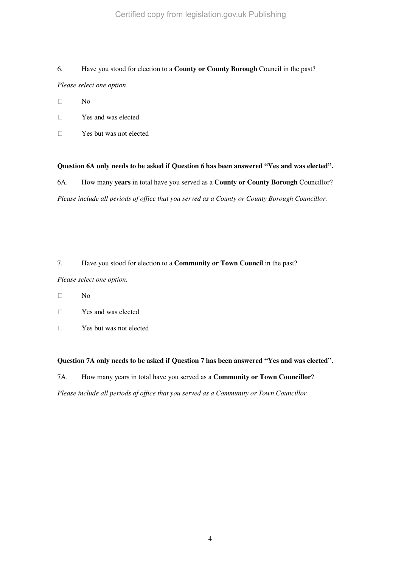# 6. Have you stood for election to a **County or County Borough** Council in the past?

*Please select one option*.

No

Yes and was elected

Yes but was not elected

## **Question 6A only needs to be asked if Question 6 has been answered "Yes and was elected".**

6A. How many **years** in total have you served as a **County or County Borough** Councillor? *Please include all periods of office that you served as a County or County Borough Councillor.* 

# 7. Have you stood for election to a **Community or Town Council** in the past?

*Please select one option.* 

 $N<sub>0</sub>$ 

Yes and was elected

Yes but was not elected

## **Question 7A only needs to be asked if Question 7 has been answered "Yes and was elected".**

7A. How many years in total have you served as a **Community or Town Councillor**?

*Please include all periods of office that you served as a Community or Town Councillor.*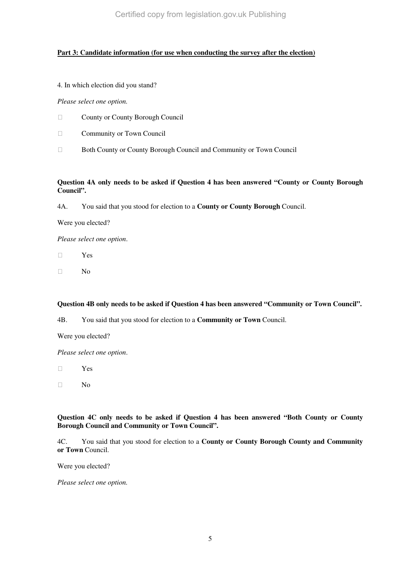Certified copy from legislation.gov.uk Publishing

## **Part 3: Candidate information (for use when conducting the survey after the election)**

4. In which election did you stand?

*Please select one option.* 

County or County Borough Council

Community or Town Council

Both County or County Borough Council and Community or Town Council

### **Question 4A only needs to be asked if Question 4 has been answered "County or County Borough Council".**

4A. You said that you stood for election to a **County or County Borough** Council.

Were you elected?

*Please select one option*.

Yes

No

**Question 4B only needs to be asked if Question 4 has been answered "Community or Town Council".** 

4B. You said that you stood for election to a **Community or Town** Council.

Were you elected?

*Please select one option*.

Yes

No

**Question 4C only needs to be asked if Question 4 has been answered "Both County or County Borough Council and Community or Town Council".** 

4C. You said that you stood for election to a **County or County Borough County and Community or Town** Council.

Were you elected?

*Please select one option.*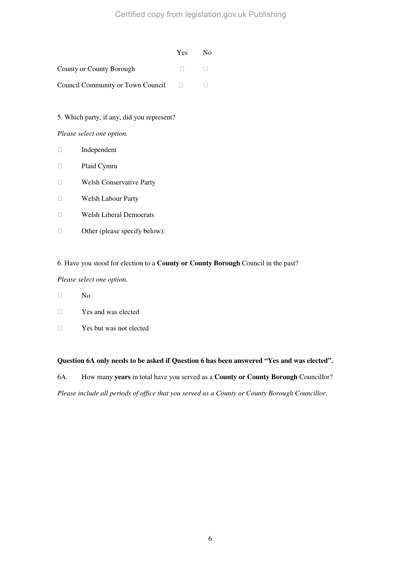#### Yes No

County or County Borough

Council Community or Town Council

5. Which party, if any, did you represent?

*Please select one option.* 

 Independent Plaid Cymru Welsh Conservative Party Welsh Labour Party Welsh Liberal Democrats Other (please specify below):

## 6. Have you stood for election to a **County or County Borough** Council in the past?

### *Please select one option.*

No

Yes and was elected

Yes but was not elected

## **Question 6A only needs to be asked if Question 6 has been answered "Yes and was elected".**

6A. How many **years** in total have you served as a **County or County Borough** Councillor?

*Please include all periods of office that you served as a County or County Borough Councillor*.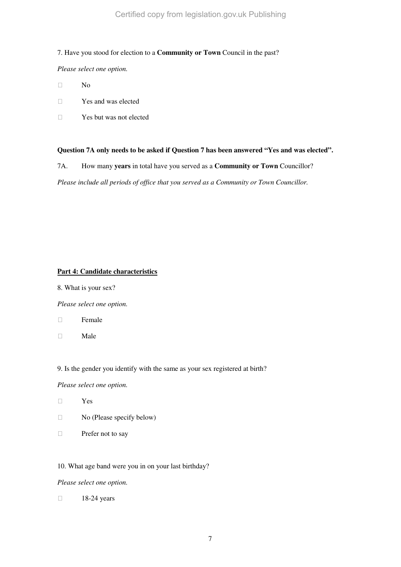### 7. Have you stood for election to a **Community or Town** Council in the past?

*Please select one option.* 

No

Yes and was elected

Yes but was not elected

## **Question 7A only needs to be asked if Question 7 has been answered "Yes and was elected".**

7A. How many **years** in total have you served as a **Community or Town** Councillor?

*Please include all periods of office that you served as a Community or Town Councillor.* 

## **Part 4: Candidate characteristics**

8. What is your sex?

*Please select one option.* 

Female

Male

9. Is the gender you identify with the same as your sex registered at birth?

*Please select one option.* 

Yes

No (Please specify below)

Prefer not to say

10. What age band were you in on your last birthday?

*Please select one option.* 

18-24 years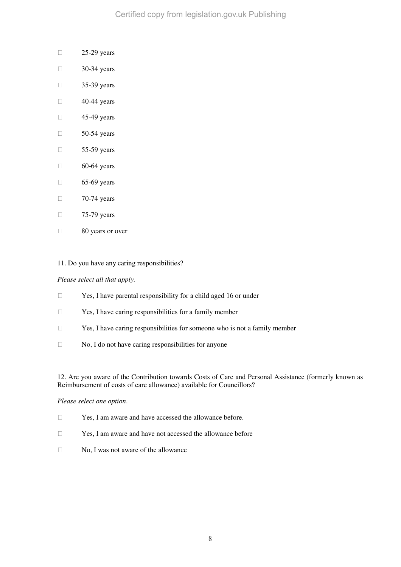Certified copy from legislation.gov.uk Publishing

 25-29 years 30-34 years 35-39 years 40-44 years 45-49 years 50-54 years 55-59 years 60-64 years 65-69 years 70-74 years 75-79 years 80 years or over

11. Do you have any caring responsibilities?

#### *Please select all that apply.*

Yes, I have parental responsibility for a child aged 16 or under

Yes, I have caring responsibilities for a family member

Yes, I have caring responsibilities for someone who is not a family member

No, I do not have caring responsibilities for anyone

12. Are you aware of the Contribution towards Costs of Care and Personal Assistance (formerly known as Reimbursement of costs of care allowance) available for Councillors?

#### *Please select one option*.

Yes, I am aware and have accessed the allowance before.

Yes, I am aware and have not accessed the allowance before

No, I was not aware of the allowance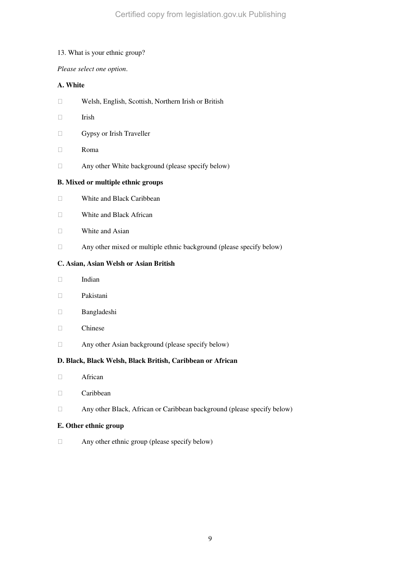#### 13. What is your ethnic group?

### *Please select one option*.

# **A. White**

Welsh, English, Scottish, Northern Irish or British

Irish

Gypsy or Irish Traveller

Roma

Any other White background (please specify below)

### **B. Mixed or multiple ethnic groups**

White and Black Caribbean

White and Black African

White and Asian

Any other mixed or multiple ethnic background (please specify below)

## **C. Asian, Asian Welsh or Asian British**

Indian

Pakistani

Bangladeshi

Chinese

Any other Asian background (please specify below)

### **D. Black, Black Welsh, Black British, Caribbean or African**

African

Caribbean

Any other Black, African or Caribbean background (please specify below)

### **E. Other ethnic group**

Any other ethnic group (please specify below)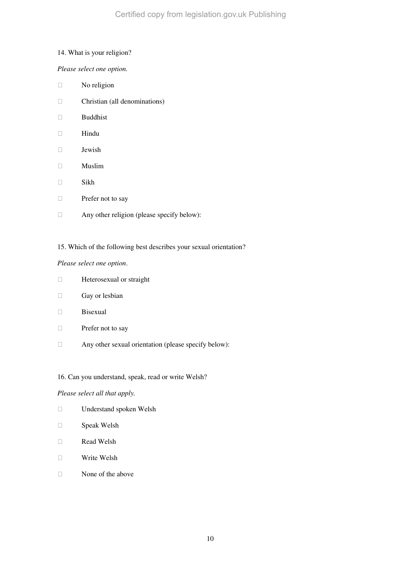### 14. What is your religion?

### *Please select one option.*

 No religion Christian (all denominations) Buddhist Hindu Jewish Muslim Sikh Prefer not to say Any other religion (please specify below):

## 15. Which of the following best describes your sexual orientation?

### *Please select one option*.

 Heterosexual or straight Gay or lesbian Bisexual Prefer not to say Any other sexual orientation (please specify below):

## 16. Can you understand, speak, read or write Welsh?

### *Please select all that apply.*

 Understand spoken Welsh Speak Welsh Read Welsh Write Welsh None of the above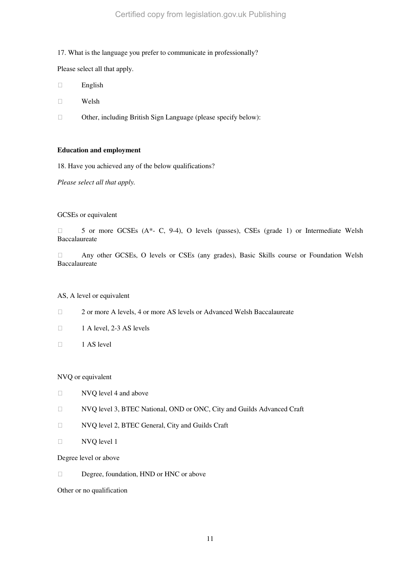#### 17. What is the language you prefer to communicate in professionally?

Please select all that apply.

English

Welsh

Other, including British Sign Language (please specify below):

#### **Education and employment**

18. Have you achieved any of the below qualifications?

*Please select all that apply.* 

#### GCSEs or equivalent

 5 or more GCSEs (A\*- C, 9-4), O levels (passes), CSEs (grade 1) or Intermediate Welsh Baccalaureate

 Any other GCSEs, O levels or CSEs (any grades), Basic Skills course or Foundation Welsh **Baccalaureate** 

#### AS, A level or equivalent

2 or more A levels, 4 or more AS levels or Advanced Welsh Baccalaureate

1 A level, 2-3 AS levels

1 AS level

NVQ or equivalent

NVQ level 4 and above

NVQ level 3, BTEC National, OND or ONC, City and Guilds Advanced Craft

NVQ level 2, BTEC General, City and Guilds Craft

NVQ level 1

Degree level or above

Degree, foundation, HND or HNC or above

Other or no qualification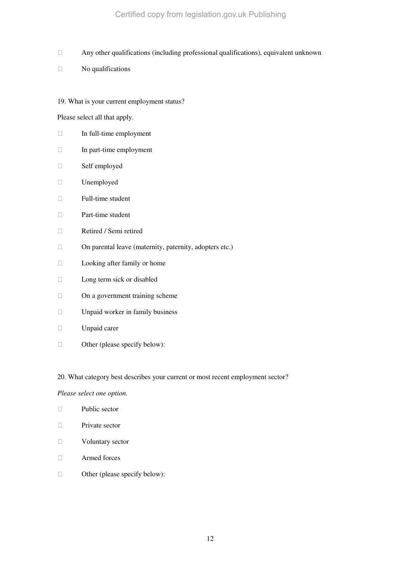Certified copy from legislation.gov.uk Publishing

Any other qualifications (including professional qualifications), equivalent unknown

No qualifications

19. What is your current employment status?

Please select all that apply.

 In full-time employment In part-time employment Self employed Unemployed Full-time student Part-time student Retired / Semi retired On parental leave (maternity, paternity, adopters etc.) Looking after family or home Long term sick or disabled On a government training scheme Unpaid worker in family business Unpaid carer Other (please specify below):

20. What category best describes your current or most recent employment sector?

*Please select one option.* 

 Public sector Private sector Voluntary sector Armed forces Other (please specify below):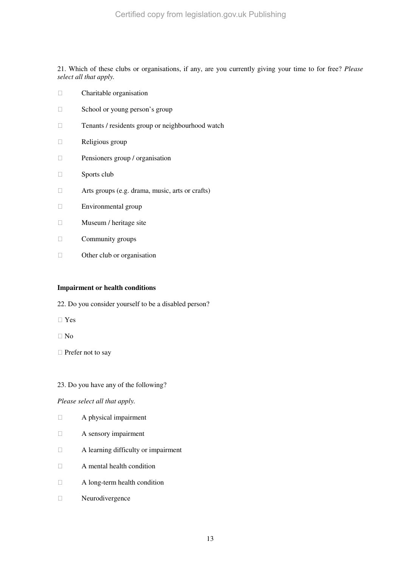21. Which of these clubs or organisations, if any, are you currently giving your time to for free? *Please select all that apply.*

 Charitable organisation School or young person's group Tenants / residents group or neighbourhood watch Religious group Pensioners group / organisation Sports club Arts groups (e.g. drama, music, arts or crafts) Environmental group Museum / heritage site Community groups Other club or organisation

### **Impairment or health conditions**

22. Do you consider yourself to be a disabled person?

Yes

No

Prefer not to say

23. Do you have any of the following?

### *Please select all that apply.*

- A physical impairment
- A sensory impairment
- A learning difficulty or impairment
- A mental health condition
- A long-term health condition
- Neurodivergence